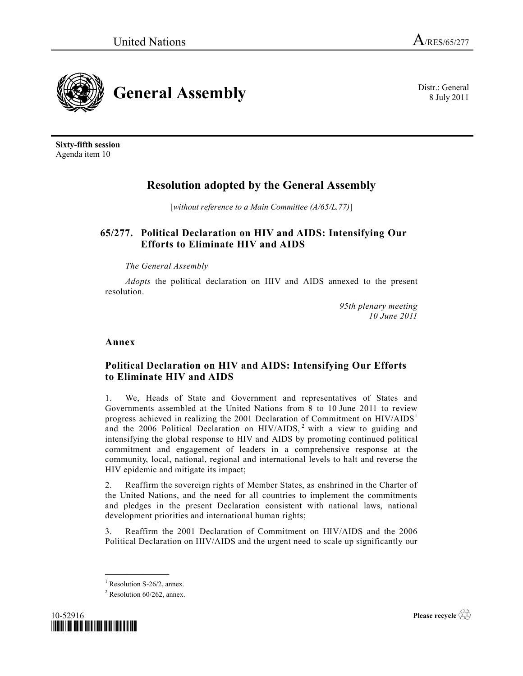

**Sixty-fifth session** Agenda item 10

# **Resolution adopted by the General Assembly**

[*without reference to a Main Committee (A/65/L.77)*]

## **65/277. Political Declaration on HIV and AIDS: Intensifying Our Efforts to Eliminate HIV and AIDS**

## *The General Assembly*

*Adopts* the political declaration on HIV and AIDS annexed to the present resolution.

> *95th plenary meeting 10 June 2011*

## **Annex**

## **Political Declaration on HIV and AIDS: Intensifying Our Efforts to Eliminate HIV and AIDS**

1. We, Heads of State and Government and representatives of States and Governments assembled at the United Nations from 8 to 10 June 2011 to review progress achieved in realizing the 2001 Declaration of Commitment on  $HIV/AIDS<sup>1</sup>$ and the 2006 Political Declaration on  $HIV/AIDS$ , with a view to guiding and intensifying the global response to HIV and AIDS by promoting continued political commitment and engagement of leaders in a comprehensive response at the community, local, national, regional and international levels to halt and reverse the HIV epidemic and mitigate its impact;

2. Reaffirm the sovereign rights of Member States, as enshrined in the Charter of the United Nations, and the need for all countries to implement the commitments and pledges in the present Declaration consistent with national laws, national development priorities and international human rights;

3. Reaffirm the 2001 Declaration of Commitment on HIV/AIDS and the 2006 Political Declaration on HIV/AIDS and the urgent need to scale up significantly our

**\_\_\_\_\_\_\_\_\_\_\_\_\_\_\_**

 $2$  Resolution 60/262, annex.



**Please recycle** 

8 July 2011

 $<sup>1</sup>$  Resolution S-26/2, annex.</sup>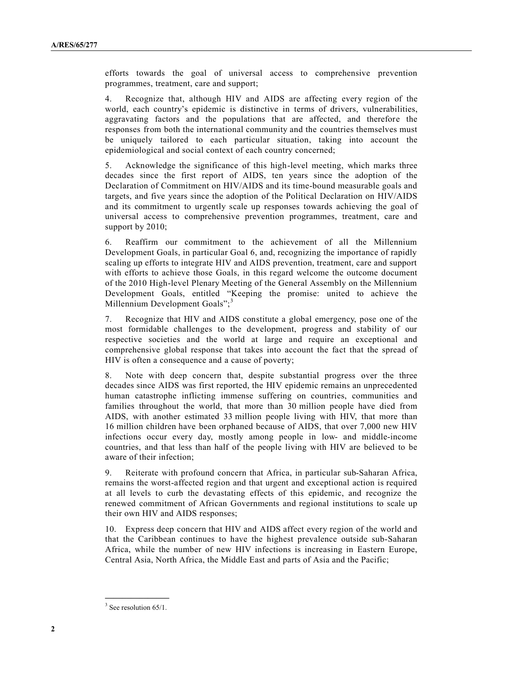efforts towards the goal of universal access to comprehensive prevention programmes, treatment, care and support;

4. Recognize that, although HIV and AIDS are affecting every region of the world, each country's epidemic is distinctive in terms of drivers, vulnerabilities, aggravating factors and the populations that are affected, and therefore the responses from both the international community and the countries themselves must be uniquely tailored to each particular situation, taking into account the epidemiological and social context of each country concerned;

5. Acknowledge the significance of this high-level meeting, which marks three decades since the first report of AIDS, ten years since the adoption of the Declaration of Commitment on HIV/AIDS and its time-bound measurable goals and targets, and five years since the adoption of the Political Declaration on HIV/AIDS and its commitment to urgently scale up responses towards achieving the goal of universal access to comprehensive prevention programmes, treatment, care and support by 2010;

6. Reaffirm our commitment to the achievement of all the Millennium Development Goals, in particular Goal 6, and, recognizing the importance of rapidly scaling up efforts to integrate HIV and AIDS prevention, treatment, care and support with efforts to achieve those Goals, in this regard welcome the outcome document of the 2010 High-level Plenary Meeting of the General Assembly on the Millennium Development Goals, entitled "Keeping the promise: united to achieve the Millennium Development Goals"; $\frac{3}{2}$ 

7. Recognize that HIV and AIDS constitute a global emergency, pose one of the most formidable challenges to the development, progress and stability of our respective societies and the world at large and require an exceptional and comprehensive global response that takes into account the fact that the spread of HIV is often a consequence and a cause of poverty;

8. Note with deep concern that, despite substantial progress over the three decades since AIDS was first reported, the HIV epidemic remains an unprecedented human catastrophe inflicting immense suffering on countries, communities and families throughout the world, that more than 30 million people have died from AIDS, with another estimated 33 million people living with HIV, that more than 16 million children have been orphaned because of AIDS, that over 7,000 new HIV infections occur every day, mostly among people in low- and middle-income countries, and that less than half of the people living with HIV are believed to be aware of their infection;

9. Reiterate with profound concern that Africa, in particular sub-Saharan Africa, remains the worst-affected region and that urgent and exceptional action is required at all levels to curb the devastating effects of this epidemic, and recognize the renewed commitment of African Governments and regional institutions to scale up their own HIV and AIDS responses;

10. Express deep concern that HIV and AIDS affect every region of the world and that the Caribbean continues to have the highest prevalence outside sub-Saharan Africa, while the number of new HIV infections is increasing in Eastern Europe, Central Asia, North Africa, the Middle East and parts of Asia and the Pacific;

**\_\_\_\_\_\_\_\_\_\_\_\_\_\_\_**  $3$  See resolution 65/1.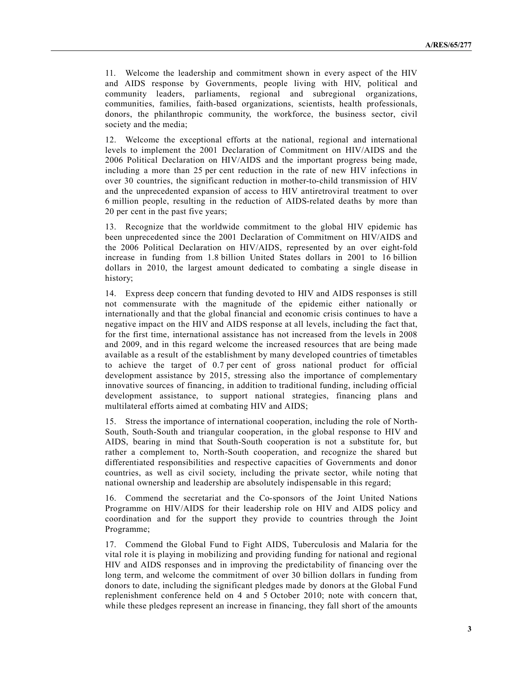11. Welcome the leadership and commitment shown in every aspect of the HIV and AIDS response by Governments, people living with HIV, political and community leaders, parliaments, regional and subregional organizations, communities, families, faith-based organizations, scientists, health professionals, donors, the philanthropic community, the workforce, the business sector, civil society and the media;

12. Welcome the exceptional efforts at the national, regional and international levels to implement the 2001 Declaration of Commitment on HIV/AIDS and the 2006 Political Declaration on HIV/AIDS and the important progress being made, including a more than 25 per cent reduction in the rate of new HIV infections in over 30 countries, the significant reduction in mother-to-child transmission of HIV and the unprecedented expansion of access to HIV antiretroviral treatment to over 6 million people, resulting in the reduction of AIDS-related deaths by more than 20 per cent in the past five years;

13. Recognize that the worldwide commitment to the global HIV epidemic has been unprecedented since the 2001 Declaration of Commitment on HIV/AIDS and the 2006 Political Declaration on HIV/AIDS, represented by an over eight-fold increase in funding from 1.8 billion United States dollars in 2001 to 16 billion dollars in 2010, the largest amount dedicated to combating a single disease in history;

14. Express deep concern that funding devoted to HIV and AIDS responses is still not commensurate with the magnitude of the epidemic either nationally or internationally and that the global financial and economic crisis continues to have a negative impact on the HIV and AIDS response at all levels, including the fact that, for the first time, international assistance has not increased from the levels in 2008 and 2009, and in this regard welcome the increased resources that are being made available as a result of the establishment by many developed countries of timetables to achieve the target of 0.7 per cent of gross national product for official development assistance by 2015, stressing also the importance of complementary innovative sources of financing, in addition to traditional funding, including official development assistance, to support national strategies, financing plans and multilateral efforts aimed at combating HIV and AIDS;

15. Stress the importance of international cooperation, including the role of North-South, South-South and triangular cooperation, in the global response to HIV and AIDS, bearing in mind that South-South cooperation is not a substitute for, but rather a complement to, North-South cooperation, and recognize the shared but differentiated responsibilities and respective capacities of Governments and donor countries, as well as civil society, including the private sector, while noting that national ownership and leadership are absolutely indispensable in this regard;

16. Commend the secretariat and the Co-sponsors of the Joint United Nations Programme on HIV/AIDS for their leadership role on HIV and AIDS policy and coordination and for the support they provide to countries through the Joint Programme;

17. Commend the Global Fund to Fight AIDS, Tuberculosis and Malaria for the vital role it is playing in mobilizing and providing funding for national and regional HIV and AIDS responses and in improving the predictability of financing over the long term, and welcome the commitment of over 30 billion dollars in funding from donors to date, including the significant pledges made by donors at the Global Fund replenishment conference held on 4 and 5 October 2010; note with concern that, while these pledges represent an increase in financing, they fall short of the amounts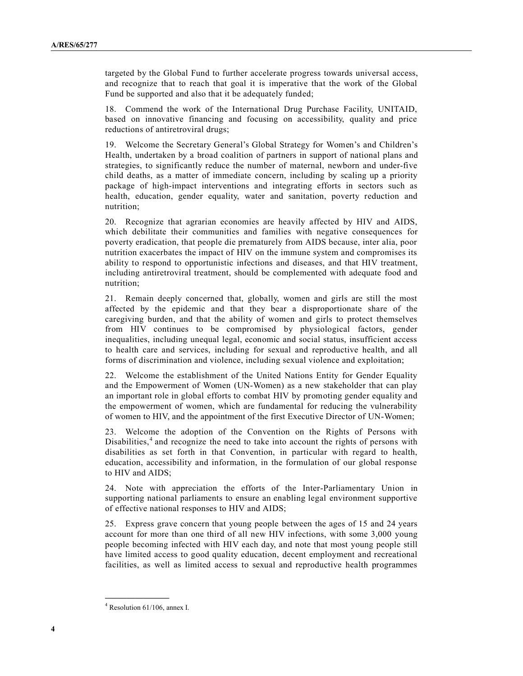targeted by the Global Fund to further accelerate progress towards universal access, and recognize that to reach that goal it is imperative that the work of the Global Fund be supported and also that it be adequately funded;

18. Commend the work of the International Drug Purchase Facility, UNITAID, based on innovative financing and focusing on accessibility, quality and price reductions of antiretroviral drugs;

19. Welcome the Secretary General's Global Strategy for Women's and Children's Health, undertaken by a broad coalition of partners in support of national plans and strategies, to significantly reduce the number of maternal, newborn and under-five child deaths, as a matter of immediate concern, including by scaling up a priority package of high-impact interventions and integrating efforts in sectors such as health, education, gender equality, water and sanitation, poverty reduction and nutrition;

20. Recognize that agrarian economies are heavily affected by HIV and AIDS, which debilitate their communities and families with negative consequences for poverty eradication, that people die prematurely from AIDS because, inter alia, poor nutrition exacerbates the impact of HIV on the immune system and compromises its ability to respond to opportunistic infections and diseases, and that HIV treatment, including antiretroviral treatment, should be complemented with adequate food and nutrition;

21. Remain deeply concerned that, globally, women and girls are still the most affected by the epidemic and that they bear a disproportionate share of the caregiving burden, and that the ability of women and girls to protect themselves from HIV continues to be compromised by physiological factors, gender inequalities, including unequal legal, economic and social status, insufficient access to health care and services, including for sexual and reproductive health, and all forms of discrimination and violence, including sexual violence and exploitation;

22. Welcome the establishment of the United Nations Entity for Gender Equality and the Empowerment of Women (UN-Women) as a new stakeholder that can play an important role in global efforts to combat HIV by promoting gender equality and the empowerment of women, which are fundamental for reducing the vulnerability of women to HIV, and the appointment of the first Executive Director of UN-Women;

23. Welcome the adoption of the Convention on the Rights of Persons with Disabilities, $4$  and recognize the need to take into account the rights of persons with disabilities as set forth in that Convention, in particular with regard to health, education, accessibility and information, in the formulation of our global response to HIV and AIDS;

24. Note with appreciation the efforts of the Inter-Parliamentary Union in supporting national parliaments to ensure an enabling legal environment supportive of effective national responses to HIV and AIDS;

25. Express grave concern that young people between the ages of 15 and 24 years account for more than one third of all new HIV infections, with some 3,000 young people becoming infected with HIV each day, and note that most young people still have limited access to good quality education, decent employment and recreational facilities, as well as limited access to sexual and reproductive health programmes

<sup>4</sup> Resolution 61/106, annex I.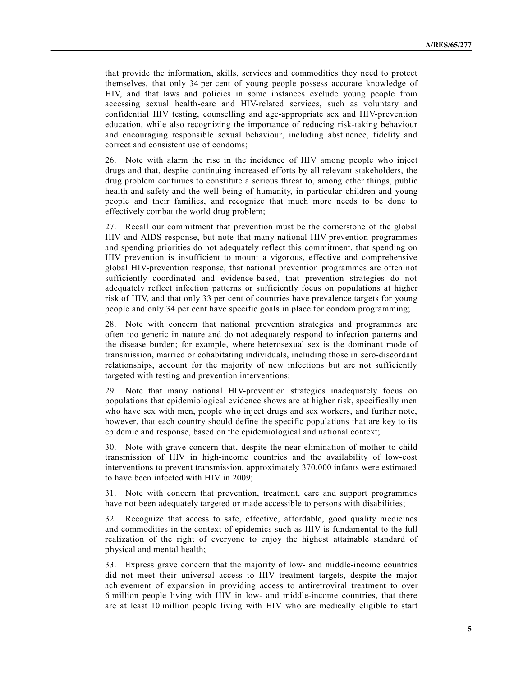that provide the information, skills, services and commodities they need to protect themselves, that only 34 per cent of young people possess accurate knowledge of HIV, and that laws and policies in some instances exclude young people from accessing sexual health-care and HIV-related services, such as voluntary and confidential HIV testing, counselling and age-appropriate sex and HIV-prevention education, while also recognizing the importance of reducing risk-taking behaviour and encouraging responsible sexual behaviour, including abstinence, fidelity and correct and consistent use of condoms;

26. Note with alarm the rise in the incidence of HIV among people who inject drugs and that, despite continuing increased efforts by all relevant stakeholders, the drug problem continues to constitute a serious threat to, among other things, public health and safety and the well-being of humanity, in particular children and young people and their families, and recognize that much more needs to be done to effectively combat the world drug problem;

27. Recall our commitment that prevention must be the cornerstone of the global HIV and AIDS response, but note that many national HIV-prevention programmes and spending priorities do not adequately reflect this commitment, that spending on HIV prevention is insufficient to mount a vigorous, effective and comprehensive global HIV-prevention response, that national prevention programmes are often not sufficiently coordinated and evidence-based, that prevention strategies do not adequately reflect infection patterns or sufficiently focus on populations at higher risk of HIV, and that only 33 per cent of countries have prevalence targets for young people and only 34 per cent have specific goals in place for condom programming;

28. Note with concern that national prevention strategies and programmes are often too generic in nature and do not adequately respond to infection patterns and the disease burden; for example, where heterosexual sex is the dominant mode of transmission, married or cohabitating individuals, including those in sero-discordant relationships, account for the majority of new infections but are not sufficiently targeted with testing and prevention interventions;

29. Note that many national HIV-prevention strategies inadequately focus on populations that epidemiological evidence shows are at higher risk, specifically men who have sex with men, people who inject drugs and sex workers, and further note, however, that each country should define the specific populations that are key to its epidemic and response, based on the epidemiological and national context;

30. Note with grave concern that, despite the near elimination of mother-to-child transmission of HIV in high-income countries and the availability of low-cost interventions to prevent transmission, approximately 370,000 infants were estimated to have been infected with HIV in 2009;

31. Note with concern that prevention, treatment, care and support programmes have not been adequately targeted or made accessible to persons with disabilities;

32. Recognize that access to safe, effective, affordable, good quality medicines and commodities in the context of epidemics such as HIV is fundamental to the full realization of the right of everyone to enjoy the highest attainable standard of physical and mental health;

33. Express grave concern that the majority of low- and middle-income countries did not meet their universal access to HIV treatment targets, despite the major achievement of expansion in providing access to antiretroviral treatment to over 6 million people living with HIV in low- and middle-income countries, that there are at least 10 million people living with HIV who are medically eligible to start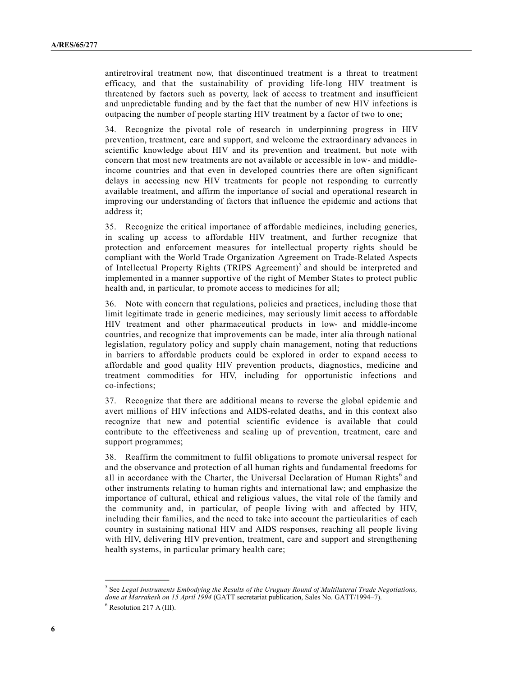antiretroviral treatment now, that discontinued treatment is a threat to treatment efficacy, and that the sustainability of providing life-long HIV treatment is threatened by factors such as poverty, lack of access to treatment and insufficient and unpredictable funding and by the fact that the number of new HIV infections is outpacing the number of people starting HIV treatment by a factor of two to one;

34. Recognize the pivotal role of research in underpinning progress in HIV prevention, treatment, care and support, and welcome the extraordinary advances in scientific knowledge about HIV and its prevention and treatment, but note with concern that most new treatments are not available or accessible in low- and middleincome countries and that even in developed countries there are often significant delays in accessing new HIV treatments for people not responding to currently available treatment, and affirm the importance of social and operational research in improving our understanding of factors that influence the epidemic and actions that address it;

35. Recognize the critical importance of affordable medicines, including generics, in scaling up access to affordable HIV treatment, and further recognize that protection and enforcement measures for intellectual property rights should be compliant with the World Trade Organization Agreement on Trade-Related Aspects of Intellectual Property Rights (TRIPS Agreement)<sup>5</sup> and should be interpreted and implemented in a manner supportive of the right of Member States to protect public health and, in particular, to promote access to medicines for all;

36. Note with concern that regulations, policies and practices, including those that limit legitimate trade in generic medicines, may seriously limit access to affordable HIV treatment and other pharmaceutical products in low- and middle-income countries, and recognize that improvements can be made, inter alia through national legislation, regulatory policy and supply chain management, noting that reductions in barriers to affordable products could be explored in order to expand access to affordable and good quality HIV prevention products, diagnostics, medicine and treatment commodities for HIV, including for opportunistic infections and co-infections;

37. Recognize that there are additional means to reverse the global epidemic and avert millions of HIV infections and AIDS-related deaths, and in this context also recognize that new and potential scientific evidence is available that could contribute to the effectiveness and scaling up of prevention, treatment, care and support programmes;

38. Reaffirm the commitment to fulfil obligations to promote universal respect for and the observance and protection of all human rights and fundamental freedoms for all in accordance with the Charter, the Universal Declaration of Human Rights<sup>6</sup> and other instruments relating to human rights and international law; and emphasize the importance of cultural, ethical and religious values, the vital role of the family and the community and, in particular, of people living with and affected by HIV, including their families, and the need to take into account the particularities of each country in sustaining national HIV and AIDS responses, reaching all people living with HIV, delivering HIV prevention, treatment, care and support and strengthening health systems, in particular primary health care;

<sup>5</sup> See *Legal Instruments Embodying the Results of the Uruguay Round of Multilateral Trade Negotiations, done at Marrakesh on 15 April 1994* (GATT secretariat publication, Sales No. GATT/1994–7).  $6$  Resolution 217 A (III).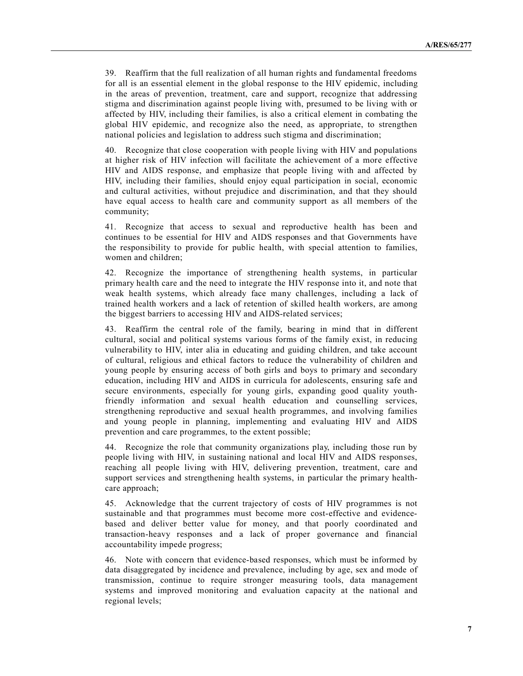39. Reaffirm that the full realization of all human rights and fundamental freedoms for all is an essential element in the global response to the HIV epidemic, including in the areas of prevention, treatment, care and support, recognize that addressing stigma and discrimination against people living with, presumed to be living with or affected by HIV, including their families, is also a critical element in combating the global HIV epidemic, and recognize also the need, as appropriate, to strengthen national policies and legislation to address such stigma and discrimination;

40. Recognize that close cooperation with people living with HIV and populations at higher risk of HIV infection will facilitate the achievement of a more effective HIV and AIDS response, and emphasize that people living with and affected by HIV, including their families, should enjoy equal participation in social, economic and cultural activities, without prejudice and discrimination, and that they should have equal access to health care and community support as all members of the community;

41. Recognize that access to sexual and reproductive health has been and continues to be essential for HIV and AIDS responses and that Governments have the responsibility to provide for public health, with special attention to families, women and children;

42. Recognize the importance of strengthening health systems, in particular primary health care and the need to integrate the HIV response into it, and note that weak health systems, which already face many challenges, including a lack of trained health workers and a lack of retention of skilled health workers, are among the biggest barriers to accessing HIV and AIDS-related services;

43. Reaffirm the central role of the family, bearing in mind that in different cultural, social and political systems various forms of the family exist, in reducing vulnerability to HIV, inter alia in educating and guiding children, and take account of cultural, religious and ethical factors to reduce the vulnerability of children and young people by ensuring access of both girls and boys to primary and secondary education, including HIV and AIDS in curricula for adolescents, ensuring safe and secure environments, especially for young girls, expanding good quality youthfriendly information and sexual health education and counselling services, strengthening reproductive and sexual health programmes, and involving families and young people in planning, implementing and evaluating HIV and AIDS prevention and care programmes, to the extent possible;

44. Recognize the role that community organizations play, including those run by people living with HIV, in sustaining national and local HIV and AIDS responses, reaching all people living with HIV, delivering prevention, treatment, care and support services and strengthening health systems, in particular the primary healthcare approach;

45. Acknowledge that the current trajectory of costs of HIV programmes is not sustainable and that programmes must become more cost-effective and evidencebased and deliver better value for money, and that poorly coordinated and transaction-heavy responses and a lack of proper governance and financial accountability impede progress;

46. Note with concern that evidence-based responses, which must be informed by data disaggregated by incidence and prevalence, including by age, sex and mode of transmission, continue to require stronger measuring tools, data management systems and improved monitoring and evaluation capacity at the national and regional levels;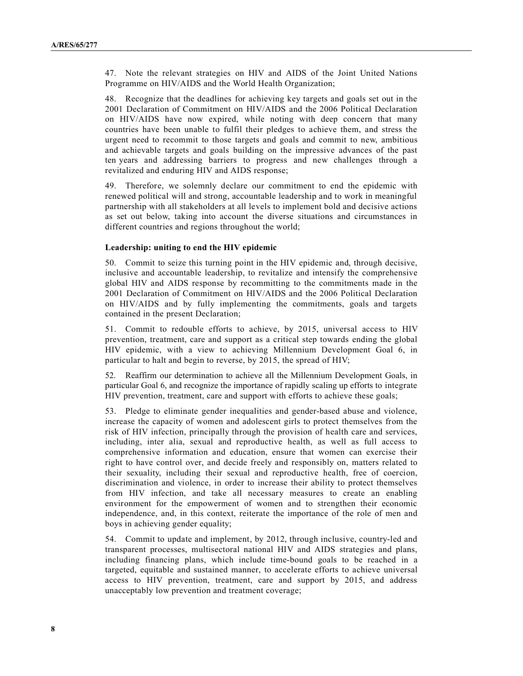47. Note the relevant strategies on HIV and AIDS of the Joint United Nations Programme on HIV/AIDS and the World Health Organization;

48. Recognize that the deadlines for achieving key targets and goals set out in the 2001 Declaration of Commitment on HIV/AIDS and the 2006 Political Declaration on HIV/AIDS have now expired, while noting with deep concern that many countries have been unable to fulfil their pledges to achieve them, and stress the urgent need to recommit to those targets and goals and commit to new, ambitious and achievable targets and goals building on the impressive advances of the past ten years and addressing barriers to progress and new challenges through a revitalized and enduring HIV and AIDS response;

49. Therefore, we solemnly declare our commitment to end the epidemic with renewed political will and strong, accountable leadership and to work in meaningful partnership with all stakeholders at all levels to implement bold and decisive actions as set out below, taking into account the diverse situations and circumstances in different countries and regions throughout the world;

#### **Leadership: uniting to end the HIV epidemic**

50. Commit to seize this turning point in the HIV epidemic and, through decisive, inclusive and accountable leadership, to revitalize and intensify the comprehensive global HIV and AIDS response by recommitting to the commitments made in the 2001 Declaration of Commitment on HIV/AIDS and the 2006 Political Declaration on HIV/AIDS and by fully implementing the commitments, goals and targets contained in the present Declaration;

51. Commit to redouble efforts to achieve, by 2015, universal access to HIV prevention, treatment, care and support as a critical step towards ending the global HIV epidemic, with a view to achieving Millennium Development Goal 6, in particular to halt and begin to reverse, by 2015, the spread of HIV;

52. Reaffirm our determination to achieve all the Millennium Development Goals, in particular Goal 6, and recognize the importance of rapidly scaling up efforts to integrate HIV prevention, treatment, care and support with efforts to achieve these goals;

53. Pledge to eliminate gender inequalities and gender-based abuse and violence, increase the capacity of women and adolescent girls to protect themselves from the risk of HIV infection, principally through the provision of health care and services, including, inter alia, sexual and reproductive health, as well as full access to comprehensive information and education, ensure that women can exercise their right to have control over, and decide freely and responsibly on, matters related to their sexuality, including their sexual and reproductive health, free of coercion, discrimination and violence, in order to increase their ability to protect themselves from HIV infection, and take all necessary measures to create an enabling environment for the empowerment of women and to strengthen their economic independence, and, in this context, reiterate the importance of the role of men and boys in achieving gender equality;

54. Commit to update and implement, by 2012, through inclusive, country-led and transparent processes, multisectoral national HIV and AIDS strategies and plans, including financing plans, which include time-bound goals to be reached in a targeted, equitable and sustained manner, to accelerate efforts to achieve universal access to HIV prevention, treatment, care and support by 2015, and address unacceptably low prevention and treatment coverage;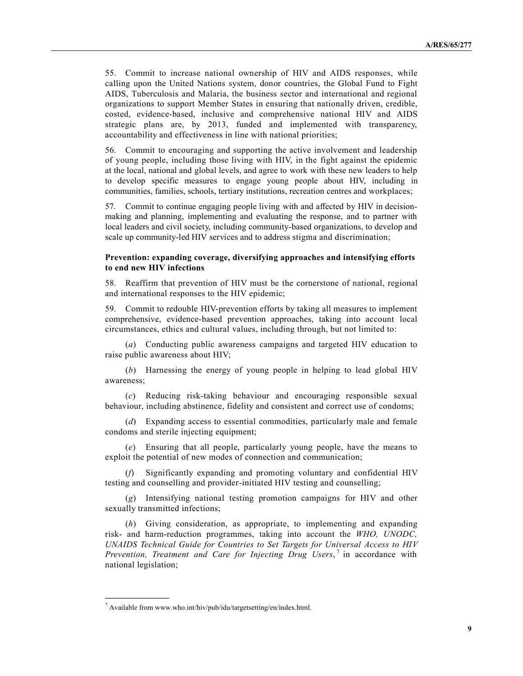55. Commit to increase national ownership of HIV and AIDS responses, while calling upon the United Nations system, donor countries, the Global Fund to Fight AIDS, Tuberculosis and Malaria, the business sector and international and regional organizations to support Member States in ensuring that nationally driven, credible, costed, evidence-based, inclusive and comprehensive national HIV and AIDS strategic plans are, by 2013, funded and implemented with transparency, accountability and effectiveness in line with national priorities;

56. Commit to encouraging and supporting the active involvement and leadership of young people, including those living with HIV, in the fight against the epidemic at the local, national and global levels, and agree to work with these new leaders to help to develop specific measures to engage young people about HIV, including in communities, families, schools, tertiary institutions, recreation centres and workplaces;

57. Commit to continue engaging people living with and affected by HIV in decisionmaking and planning, implementing and evaluating the response, and to partner with local leaders and civil society, including community-based organizations, to develop and scale up community-led HIV services and to address stigma and discrimination;

## **Prevention: expanding coverage, diversifying approaches and intensifying efforts to end new HIV infections**

58. Reaffirm that prevention of HIV must be the cornerstone of national, regional and international responses to the HIV epidemic;

59. Commit to redouble HIV-prevention efforts by taking all measures to implement comprehensive, evidence-based prevention approaches, taking into account local circumstances, ethics and cultural values, including through, but not limited to:

(*a*) Conducting public awareness campaigns and targeted HIV education to raise public awareness about HIV;

(*b*) Harnessing the energy of young people in helping to lead global HIV awareness;

(*c*) Reducing risk-taking behaviour and encouraging responsible sexual behaviour, including abstinence, fidelity and consistent and correct use of condoms;

(*d*) Expanding access to essential commodities, particularly male and female condoms and sterile injecting equipment;

(*e*) Ensuring that all people, particularly young people, have the means to exploit the potential of new modes of connection and communication;

(*f*) Significantly expanding and promoting voluntary and confidential HIV testing and counselling and provider-initiated HIV testing and counselling;

(*g*) Intensifying national testing promotion campaigns for HIV and other sexually transmitted infections;

(*h*) Giving consideration, as appropriate, to implementing and expanding risk- and harm-reduction programmes, taking into account the *WHO, UNODC, UNAIDS Technical Guide for Countries to Set Targets for Universal Access to HIV Prevention, Treatment and Care for Injecting Drug Users*, 7 in accordance with national legislation;

 $^7$  Available from w[ww.who.int](www.who.int)/hiv/pub/idu/targetsetting/en/index.html.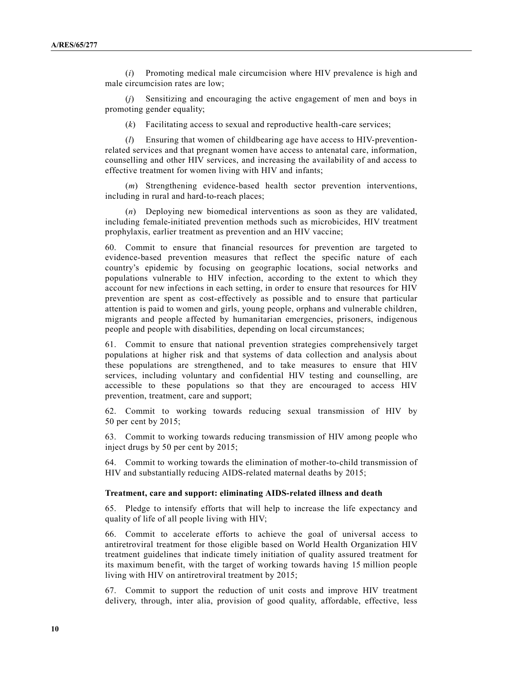(*i*) Promoting medical male circumcision where HIV prevalence is high and male circumcision rates are low;

(*j*) Sensitizing and encouraging the active engagement of men and boys in promoting gender equality;

(*k*) Facilitating access to sexual and reproductive health-care services;

(*l*) Ensuring that women of childbearing age have access to HIV-preventionrelated services and that pregnant women have access to antenatal care, information, counselling and other HIV services, and increasing the availability of and access to effective treatment for women living with HIV and infants;

(*m*) Strengthening evidence-based health sector prevention interventions, including in rural and hard-to-reach places;

(*n*) Deploying new biomedical interventions as soon as they are validated, including female-initiated prevention methods such as microbicides, HIV treatment prophylaxis, earlier treatment as prevention and an HIV vaccine;

60. Commit to ensure that financial resources for prevention are targeted to evidence-based prevention measures that reflect the specific nature of each country's epidemic by focusing on geographic locations, social networks and populations vulnerable to HIV infection, according to the extent to which they account for new infections in each setting, in order to ensure that resources for HIV prevention are spent as cost-effectively as possible and to ensure that particular attention is paid to women and girls, young people, orphans and vulnerable children, migrants and people affected by humanitarian emergencies, prisoners, indigenous people and people with disabilities, depending on local circumstances;

61. Commit to ensure that national prevention strategies comprehensively target populations at higher risk and that systems of data collection and analysis about these populations are strengthened, and to take measures to ensure that HIV services, including voluntary and confidential HIV testing and counselling, are accessible to these populations so that they are encouraged to access HIV prevention, treatment, care and support;

62. Commit to working towards reducing sexual transmission of HIV by 50 per cent by 2015;

63. Commit to working towards reducing transmission of HIV among people who inject drugs by 50 per cent by 2015;

64. Commit to working towards the elimination of mother-to-child transmission of HIV and substantially reducing AIDS-related maternal deaths by 2015;

#### **Treatment, care and support: eliminating AIDS-related illness and death**

65. Pledge to intensify efforts that will help to increase the life expectancy and quality of life of all people living with HIV;

66. Commit to accelerate efforts to achieve the goal of universal access to antiretroviral treatment for those eligible based on World Health Organization HIV treatment guidelines that indicate timely initiation of quality assured treatment for its maximum benefit, with the target of working towards having 15 million people living with HIV on antiretroviral treatment by 2015;

67. Commit to support the reduction of unit costs and improve HIV treatment delivery, through, inter alia, provision of good quality, affordable, effective, less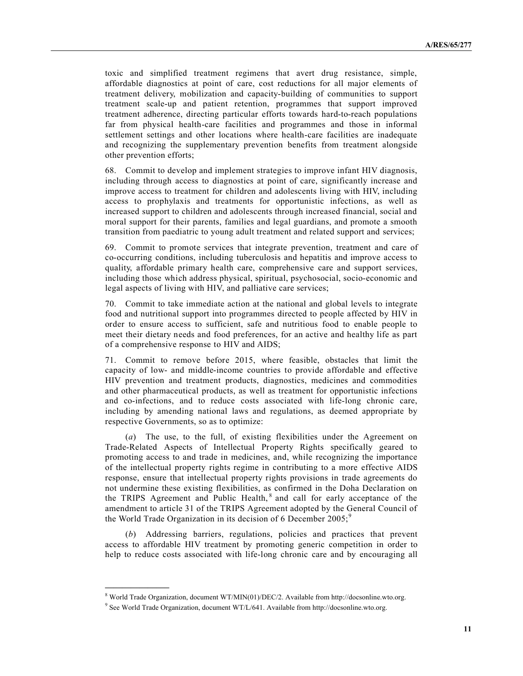toxic and simplified treatment regimens that avert drug resistance, simple, affordable diagnostics at point of care, cost reductions for all major elements of treatment delivery, mobilization and capacity-building of communities to support treatment scale-up and patient retention, programmes that support improved treatment adherence, directing particular efforts towards hard-to-reach populations far from physical health-care facilities and programmes and those in informal settlement settings and other locations where health-care facilities are inadequate and recognizing the supplementary prevention benefits from treatment alongside other prevention efforts;

68. Commit to develop and implement strategies to improve infant HIV diagnosis, including through access to diagnostics at point of care, significantly increase and improve access to treatment for children and adolescents living with HIV, including access to prophylaxis and treatments for opportunistic infections, as well as increased support to children and adolescents through increased financial, social and moral support for their parents, families and legal guardians, and promote a smooth transition from paediatric to young adult treatment and related support and services;

69. Commit to promote services that integrate prevention, treatment and care of co-occurring conditions, including tuberculosis and hepatitis and improve access to quality, affordable primary health care, comprehensive care and support services, including those which address physical, spiritual, psychosocial, socio-economic and legal aspects of living with HIV, and palliative care services;

70. Commit to take immediate action at the national and global levels to integrate food and nutritional support into programmes directed to people affected by HIV in order to ensure access to sufficient, safe and nutritious food to enable people to meet their dietary needs and food preferences, for an active and healthy life as part of a comprehensive response to HIV and AIDS;

71. Commit to remove before 2015, where feasible, obstacles that limit the capacity of low- and middle-income countries to provide affordable and effective HIV prevention and treatment products, diagnostics, medicines and commodities and other pharmaceutical products, as well as treatment for opportunistic infections and co-infections, and to reduce costs associated with life-long chronic care, including by amending national laws and regulations, as deemed appropriate by respective Governments, so as to optimize:

(*a*) The use, to the full, of existing flexibilities under the Agreement on Trade-Related Aspects of Intellectual Property Rights specifically geared to promoting access to and trade in medicines, and, while recognizing the importance of the intellectual property rights regime in contributing to a more effective AIDS response, ensure that intellectual property rights provisions in trade agreements do not undermine these existing flexibilities, as confirmed in the Doha Declaration on the TRIPS Agreement and Public Health,<sup>8</sup> and call for early acceptance of the amendment to article 31 of the TRIPS Agreement adopted by the General Council of the World Trade Organization in its decision of 6 December  $2005$ ;<sup>9</sup>

(*b*) Addressing barriers, regulations, policies and practices that prevent access to affordable HIV treatment by promoting generic competition in order to help to reduce costs associated with life-long chronic care and by encouraging all

<sup>8</sup> World Trade Organization, document WT/MIN(01)/DEC/2. Available from <http://docsonline.wto.org.>

<sup>&</sup>lt;sup>9</sup> See World Trade Organization, document WT/L/641. Available from <http://docsonline.wto.org.>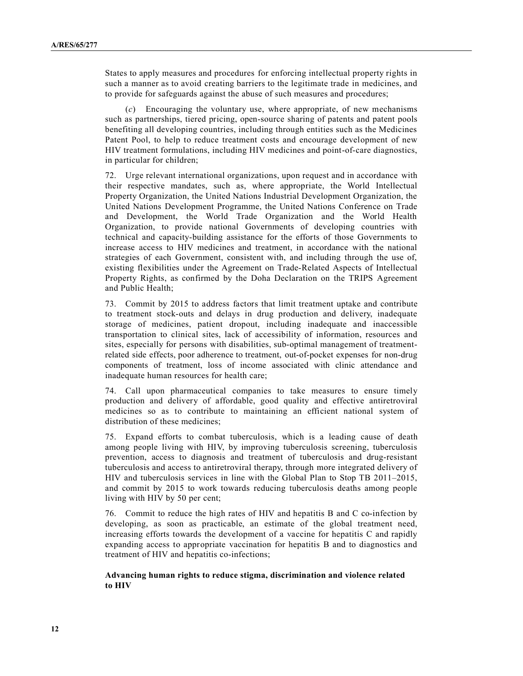States to apply measures and procedures for enforcing intellectual property rights in such a manner as to avoid creating barriers to the legitimate trade in medicines, and to provide for safeguards against the abuse of such measures and procedures;

(*c*) Encouraging the voluntary use, where appropriate, of new mechanisms such as partnerships, tiered pricing, open-source sharing of patents and patent pools benefiting all developing countries, including through entities such as the Medicines Patent Pool, to help to reduce treatment costs and encourage development of new HIV treatment formulations, including HIV medicines and point-of-care diagnostics, in particular for children;

72. Urge relevant international organizations, upon request and in accordance with their respective mandates, such as, where appropriate, the World Intellectual Property Organization, the United Nations Industrial Development Organization, the United Nations Development Programme, the United Nations Conference on Trade and Development, the World Trade Organization and the World Health Organization, to provide national Governments of developing countries with technical and capacity-building assistance for the efforts of those Governments to increase access to HIV medicines and treatment, in accordance with the national strategies of each Government, consistent with, and including through the use of, existing flexibilities under the Agreement on Trade-Related Aspects of Intellectual Property Rights, as confirmed by the Doha Declaration on the TRIPS Agreement and Public Health;

73. Commit by 2015 to address factors that limit treatment uptake and contribute to treatment stock-outs and delays in drug production and delivery, inadequate storage of medicines, patient dropout, including inadequate and inaccessible transportation to clinical sites, lack of accessibility of information, resources and sites, especially for persons with disabilities, sub-optimal management of treatmentrelated side effects, poor adherence to treatment, out-of-pocket expenses for non-drug components of treatment, loss of income associated with clinic attendance and inadequate human resources for health care;

74. Call upon pharmaceutical companies to take measures to ensure timely production and delivery of affordable, good quality and effective antiretroviral medicines so as to contribute to maintaining an efficient national system of distribution of these medicines;

75. Expand efforts to combat tuberculosis, which is a leading cause of death among people living with HIV, by improving tuberculosis screening, tuberculosis prevention, access to diagnosis and treatment of tuberculosis and drug-resistant tuberculosis and access to antiretroviral therapy, through more integrated delivery of HIV and tuberculosis services in line with the Global Plan to Stop TB 2011–2015, and commit by 2015 to work towards reducing tuberculosis deaths among people living with HIV by 50 per cent;

76. Commit to reduce the high rates of HIV and hepatitis B and C co-infection by developing, as soon as practicable, an estimate of the global treatment need, increasing efforts towards the development of a vaccine for hepatitis C and rapidly expanding access to appropriate vaccination for hepatitis B and to diagnostics and treatment of HIV and hepatitis co-infections;

**Advancing human rights to reduce stigma, discrimination and violence related to HIV**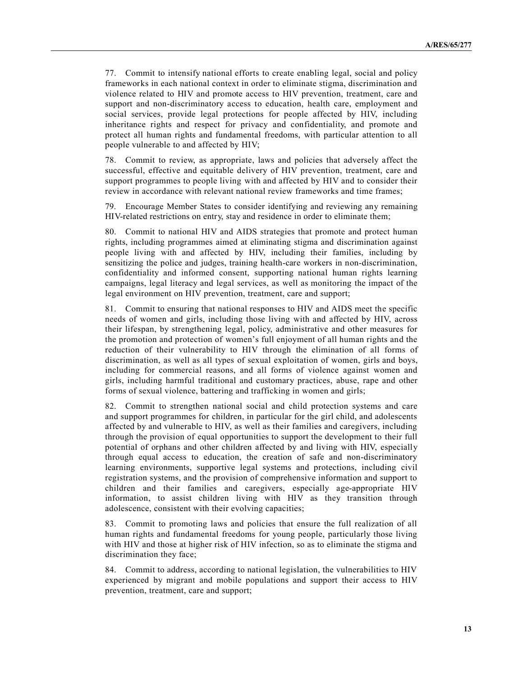77. Commit to intensify national efforts to create enabling legal, social and policy frameworks in each national context in order to eliminate stigma, discrimination and violence related to HIV and promote access to HIV prevention, treatment, care and support and non-discriminatory access to education, health care, employment and social services, provide legal protections for people affected by HIV, including inheritance rights and respect for privacy and confidentiality, and promote and protect all human rights and fundamental freedoms, with particular attention to all people vulnerable to and affected by HIV;

78. Commit to review, as appropriate, laws and policies that adversely affect the successful, effective and equitable delivery of HIV prevention, treatment, care and support programmes to people living with and affected by HIV and to consider their review in accordance with relevant national review frameworks and time frames;

79. Encourage Member States to consider identifying and reviewing any remaining HIV-related restrictions on entry, stay and residence in order to eliminate them;

80. Commit to national HIV and AIDS strategies that promote and protect human rights, including programmes aimed at eliminating stigma and discrimination against people living with and affected by HIV, including their families, including by sensitizing the police and judges, training health-care workers in non-discrimination, confidentiality and informed consent, supporting national human rights learning campaigns, legal literacy and legal services, as well as monitoring the impact of the legal environment on HIV prevention, treatment, care and support;

81. Commit to ensuring that national responses to HIV and AIDS meet the specific needs of women and girls, including those living with and affected by HIV, across their lifespan, by strengthening legal, policy, administrative and other measures for the promotion and protection of women's full enjoyment of all human rights and the reduction of their vulnerability to HIV through the elimination of all forms of discrimination, as well as all types of sexual exploitation of women, girls and boys, including for commercial reasons, and all forms of violence against women and girls, including harmful traditional and customary practices, abuse, rape and other forms of sexual violence, battering and trafficking in women and girls;

82. Commit to strengthen national social and child protection systems and care and support programmes for children, in particular for the girl child, and adolescents affected by and vulnerable to HIV, as well as their families and caregivers, including through the provision of equal opportunities to support the development to their full potential of orphans and other children affected by and living with HIV, especially through equal access to education, the creation of safe and non-discriminatory learning environments, supportive legal systems and protections, including civil registration systems, and the provision of comprehensive information and support to children and their families and caregivers, especially age-appropriate HIV information, to assist children living with HIV as they transition through adolescence, consistent with their evolving capacities;

83. Commit to promoting laws and policies that ensure the full realization of all human rights and fundamental freedoms for young people, particularly those living with HIV and those at higher risk of HIV infection, so as to eliminate the stigma and discrimination they face;

84. Commit to address, according to national legislation, the vulnerabilities to HIV experienced by migrant and mobile populations and support their access to HIV prevention, treatment, care and support;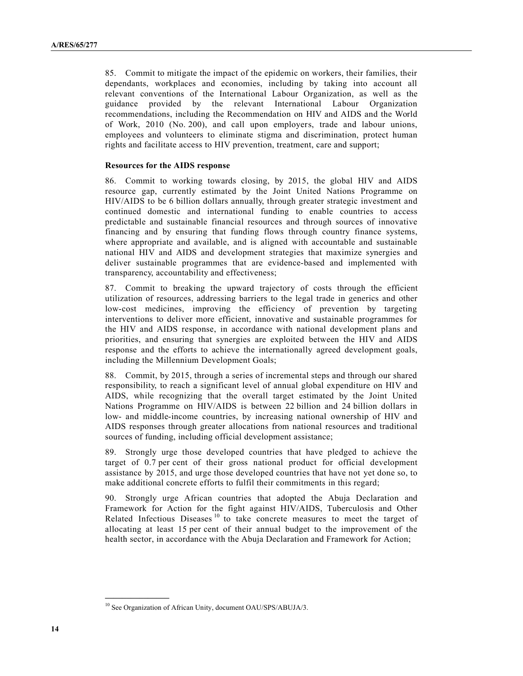85. Commit to mitigate the impact of the epidemic on workers, their families, their dependants, workplaces and economies, including by taking into account all relevant conventions of the International Labour Organization, as well as the guidance provided by the relevant International Labour Organization recommendations, including the Recommendation on HIV and AIDS and the World of Work, 2010 (No. 200), and call upon employers, trade and labour unions, employees and volunteers to eliminate stigma and discrimination, protect human rights and facilitate access to HIV prevention, treatment, care and support;

#### **Resources for the AIDS response**

86. Commit to working towards closing, by 2015, the global HIV and AIDS resource gap, currently estimated by the Joint United Nations Programme on HIV/AIDS to be 6 billion dollars annually, through greater strategic investment and continued domestic and international funding to enable countries to access predictable and sustainable financial resources and through sources of innovative financing and by ensuring that funding flows through country finance systems, where appropriate and available, and is aligned with accountable and sustainable national HIV and AIDS and development strategies that maximize synergies and deliver sustainable programmes that are evidence-based and implemented with transparency, accountability and effectiveness;

87. Commit to breaking the upward trajectory of costs through the efficient utilization of resources, addressing barriers to the legal trade in generics and other low-cost medicines, improving the efficiency of prevention by targeting interventions to deliver more efficient, innovative and sustainable programmes for the HIV and AIDS response, in accordance with national development plans and priorities, and ensuring that synergies are exploited between the HIV and AIDS response and the efforts to achieve the internationally agreed development goals, including the Millennium Development Goals;

88. Commit, by 2015, through a series of incremental steps and through our shared responsibility, to reach a significant level of annual global expenditure on HIV and AIDS, while recognizing that the overall target estimated by the Joint United Nations Programme on HIV/AIDS is between 22 billion and 24 billion dollars in low- and middle-income countries, by increasing national ownership of HIV and AIDS responses through greater allocations from national resources and traditional sources of funding, including official development assistance;

89. Strongly urge those developed countries that have pledged to achieve the target of 0.7 per cent of their gross national product for official development assistance by 2015, and urge those developed countries that have not yet done so, to make additional concrete efforts to fulfil their commitments in this regard;

90. Strongly urge African countries that adopted the Abuja Declaration and Framework for Action for the fight against HIV/AIDS, Tuberculosis and Other Related Infectious Diseases<sup>10</sup> to take concrete measures to meet the target of allocating at least 15 per cent of their annual budget to the improvement of the health sector, in accordance with the Abuja Declaration and Framework for Action;

<sup>&</sup>lt;sup>10</sup> See Organization of African Unity, document OAU/SPS/ABUJA/3.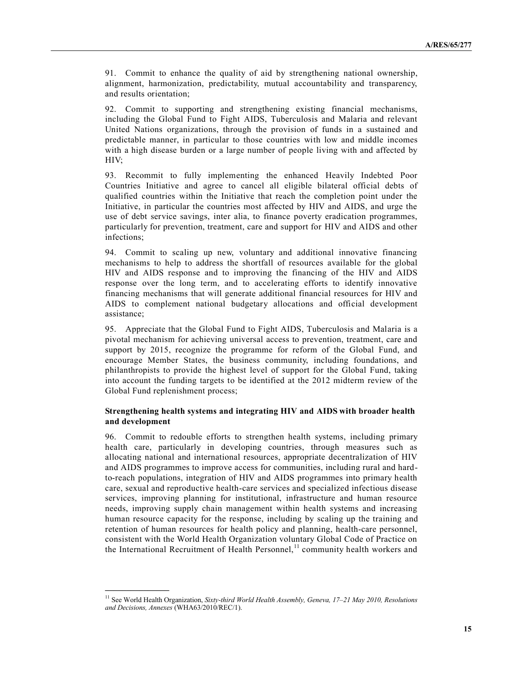91. Commit to enhance the quality of aid by strengthening national ownership, alignment, harmonization, predictability, mutual accountability and transparency, and results orientation;

92. Commit to supporting and strengthening existing financial mechanisms, including the Global Fund to Fight AIDS, Tuberculosis and Malaria and relevant United Nations organizations, through the provision of funds in a sustained and predictable manner, in particular to those countries with low and middle incomes with a high disease burden or a large number of people living with and affected by HIV;

93. Recommit to fully implementing the enhanced Heavily Indebted Poor Countries Initiative and agree to cancel all eligible bilateral official debts of qualified countries within the Initiative that reach the completion point under the Initiative, in particular the countries most affected by HIV and AIDS, and urge the use of debt service savings, inter alia, to finance poverty eradication programmes, particularly for prevention, treatment, care and support for HIV and AIDS and other infections;

94. Commit to scaling up new, voluntary and additional innovative financing mechanisms to help to address the shortfall of resources available for the global HIV and AIDS response and to improving the financing of the HIV and AIDS response over the long term, and to accelerating efforts to identify innovative financing mechanisms that will generate additional financial resources for HIV and AIDS to complement national budgetary allocations and official development assistance;

95. Appreciate that the Global Fund to Fight AIDS, Tuberculosis and Malaria is a pivotal mechanism for achieving universal access to prevention, treatment, care and support by 2015, recognize the programme for reform of the Global Fund, and encourage Member States, the business community, including foundations, and philanthropists to provide the highest level of support for the Global Fund, taking into account the funding targets to be identified at the 2012 midterm review of the Global Fund replenishment process;

## **Strengthening health systems and integrating HIV and AIDS with broader health and development**

96. Commit to redouble efforts to strengthen health systems, including primary health care, particularly in developing countries, through measures such as allocating national and international resources, appropriate decentralization of HIV and AIDS programmes to improve access for communities, including rural and hardto-reach populations, integration of HIV and AIDS programmes into primary health care, sexual and reproductive health-care services and specialized infectious disease services, improving planning for institutional, infrastructure and human resource needs, improving supply chain management within health systems and increasing human resource capacity for the response, including by scaling up the training and retention of human resources for health policy and planning, health-care personnel, consistent with the World Health Organization voluntary Global Code of Practice on the International Recruitment of Health Personnel,<sup>11</sup> community health workers and

<sup>11</sup> See World Health Organization, *Sixty-third World Health Assembly, Geneva, 17–21 May 2010, Resolutions and Decisions, Annexes* (WHA63/2010/REC/1).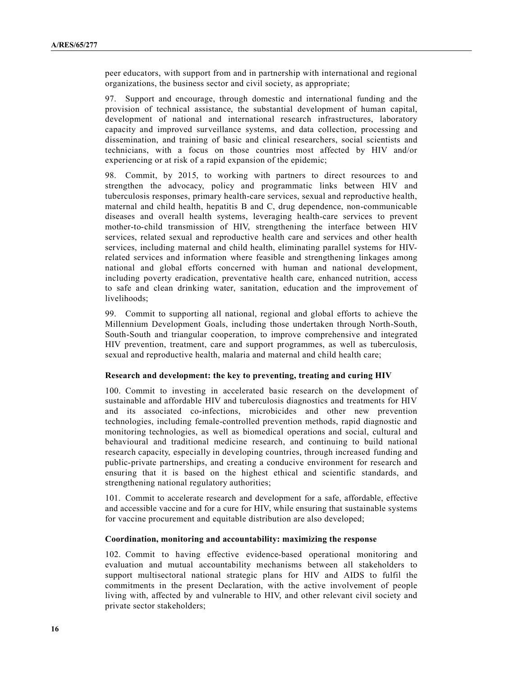peer educators, with support from and in partnership with international and regional organizations, the business sector and civil society, as appropriate;

97. Support and encourage, through domestic and international funding and the provision of technical assistance, the substantial development of human capital, development of national and international research infrastructures, laboratory capacity and improved surveillance systems, and data collection, processing and dissemination, and training of basic and clinical researchers, social scientists and technicians, with a focus on those countries most affected by HIV and/or experiencing or at risk of a rapid expansion of the epidemic;

98. Commit, by 2015, to working with partners to direct resources to and strengthen the advocacy, policy and programmatic links between HIV and tuberculosis responses, primary health-care services, sexual and reproductive health, maternal and child health, hepatitis B and C, drug dependence, non-communicable diseases and overall health systems, leveraging health-care services to prevent mother-to-child transmission of HIV, strengthening the interface between HIV services, related sexual and reproductive health care and services and other health services, including maternal and child health, eliminating parallel systems for HIVrelated services and information where feasible and strengthening linkages among national and global efforts concerned with human and national development, including poverty eradication, preventative health care, enhanced nutrition, access to safe and clean drinking water, sanitation, education and the improvement of livelihoods;

99. Commit to supporting all national, regional and global efforts to achieve the Millennium Development Goals, including those undertaken through North-South, South-South and triangular cooperation, to improve comprehensive and integrated HIV prevention, treatment, care and support programmes, as well as tuberculosis, sexual and reproductive health, malaria and maternal and child health care;

## **Research and development: the key to preventing, treating and curing HIV**

100. Commit to investing in accelerated basic research on the development of sustainable and affordable HIV and tuberculosis diagnostics and treatments for HIV and its associated co-infections, microbicides and other new prevention technologies, including female-controlled prevention methods, rapid diagnostic and monitoring technologies, as well as biomedical operations and social, cultural and behavioural and traditional medicine research, and continuing to build national research capacity, especially in developing countries, through increased funding and public-private partnerships, and creating a conducive environment for research and ensuring that it is based on the highest ethical and scientific standards, and strengthening national regulatory authorities;

101. Commit to accelerate research and development for a safe, affordable, effective and accessible vaccine and for a cure for HIV, while ensuring that sustainable systems for vaccine procurement and equitable distribution are also developed;

### **Coordination, monitoring and accountability: maximizing the response**

102. Commit to having effective evidence-based operational monitoring and evaluation and mutual accountability mechanisms between all stakeholders to support multisectoral national strategic plans for HIV and AIDS to fulfil the commitments in the present Declaration, with the active involvement of people living with, affected by and vulnerable to HIV, and other relevant civil society and private sector stakeholders;